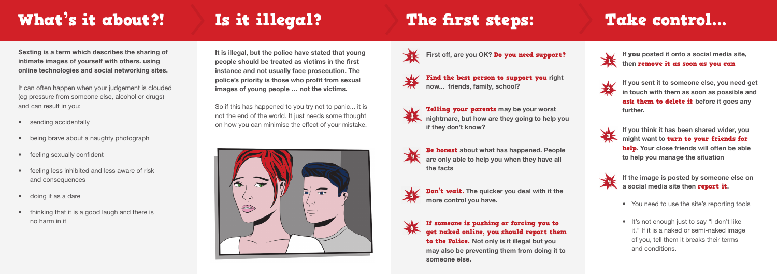Find the best person to support you right now... friends, family, school?



Telling your parents may be your worst nightmare, but how are they going to help you if they don't know?



Be honest about what has happened. People are only able to help you when they have all the facts



Don't wait. The quicker you deal with it the more control you have.



to the Police. Not only is it illegal but you may also be preventing them from doing it to someone else.



## If someone is pushing or forcing you to get naked online, you should report them

It can often happen when your judgement is clouded (eg pressure from someone else, alcohol or drugs) and can result in you:

- sending accidentally
- being brave about a naughty photograph
- feeling sexually confident
- feeling less inhibited and less aware of risk and consequences
- doing it as a dare
- thinking that it is a good laugh and there is no harm in it

# What's it about?! Is it illegal? The first steps: Take control...

Sexting is a term which describes the sharing of intimate images of yourself with others. using online technologies and social networking sites.

If you posted it onto a social media site, then remove it as soon as you can



If you sent it to someone else, you need get<br>in touch with them as soon as possible and in touch with them as soon as possible and ask them to delete it before it goes any further.



If you think it has been shared wider, you might want to turn to your friends for help. Your close friends will often be able to help you manage the situation



If the image is posted by someone else on a social media site then **report it**.

It is illegal, but the police have stated that young people should be treated as victims in the first instance and not usually face prosecution. The police's priority is those who profit from sexual images of young people … not the victims.

So if this has happened to you try not to panic... it is not the end of the world. It just needs some thought on how you can minimise the effect of your mistake.





First off, are you OK? Do you need support?



- You need to use the site's reporting tools
- It's not enough just to say "I don't like it." If it is a naked or semi-naked image of you, tell them it breaks their terms and conditions.